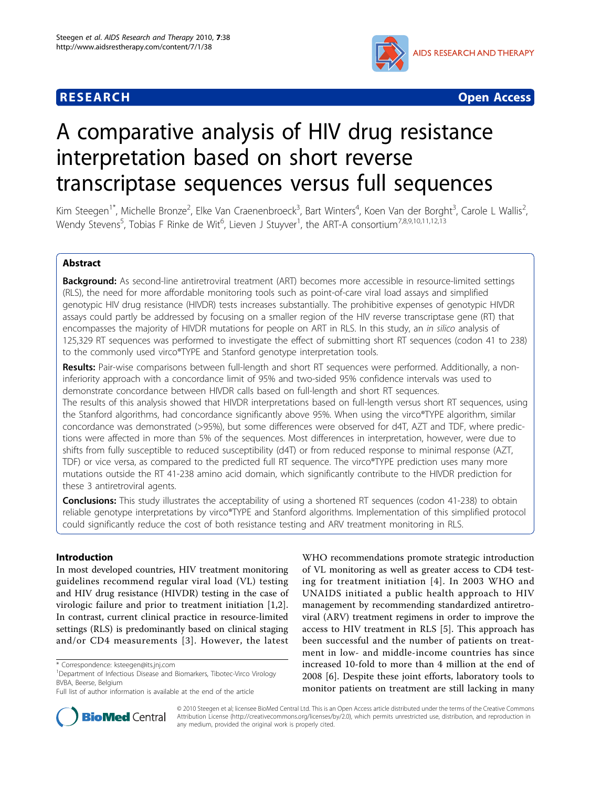



# A comparative analysis of HIV drug resistance interpretation based on short reverse transcriptase sequences versus full sequences

Kim Steegen<sup>1\*</sup>, Michelle Bronze<sup>2</sup>, Elke Van Craenenbroeck<sup>3</sup>, Bart Winters<sup>4</sup>, Koen Van der Borght<sup>3</sup>, Carole L Wallis<sup>2</sup> .<br>, Wendy Stevens<sup>5</sup>, Tobias F Rinke de Wit<sup>6</sup>, Lieven J Stuyver<sup>1</sup>, the ART-A consortium<sup>7,8,9,10,11,12,13</sup>

# Abstract

**Background:** As second-line antiretroviral treatment (ART) becomes more accessible in resource-limited settings (RLS), the need for more affordable monitoring tools such as point-of-care viral load assays and simplified genotypic HIV drug resistance (HIVDR) tests increases substantially. The prohibitive expenses of genotypic HIVDR assays could partly be addressed by focusing on a smaller region of the HIV reverse transcriptase gene (RT) that encompasses the majority of HIVDR mutations for people on ART in RLS. In this study, an in silico analysis of 125,329 RT sequences was performed to investigate the effect of submitting short RT sequences (codon 41 to 238) to the commonly used virco®TYPE and Stanford genotype interpretation tools.

Results: Pair-wise comparisons between full-length and short RT sequences were performed. Additionally, a noninferiority approach with a concordance limit of 95% and two-sided 95% confidence intervals was used to demonstrate concordance between HIVDR calls based on full-length and short RT sequences. The results of this analysis showed that HIVDR interpretations based on full-length versus short RT sequences, using the Stanford algorithms, had concordance significantly above 95%. When using the virco®TYPE algorithm, similar concordance was demonstrated (>95%), but some differences were observed for d4T, AZT and TDF, where predictions were affected in more than 5% of the sequences. Most differences in interpretation, however, were due to shifts from fully susceptible to reduced susceptibility (d4T) or from reduced response to minimal response (AZT, TDF) or vice versa, as compared to the predicted full RT sequence. The virco®TYPE prediction uses many more mutations outside the RT 41-238 amino acid domain, which significantly contribute to the HIVDR prediction for these 3 antiretroviral agents.

**Conclusions:** This study illustrates the acceptability of using a shortened RT sequences (codon 41-238) to obtain reliable genotype interpretations by virco®TYPE and Stanford algorithms. Implementation of this simplified protocol could significantly reduce the cost of both resistance testing and ARV treatment monitoring in RLS.

# Introduction

In most developed countries, HIV treatment monitoring guidelines recommend regular viral load (VL) testing and HIV drug resistance (HIVDR) testing in the case of virologic failure and prior to treatment initiation [[1,2](#page-8-0)]. In contrast, current clinical practice in resource-limited settings (RLS) is predominantly based on clinical staging and/or CD4 measurements [[3](#page-8-0)]. However, the latest

Full list of author information is available at the end of the article





© 2010 Steegen et al; licensee BioMed Central Ltd. This is an Open Access article distributed under the terms of the Creative Commons Attribution License [\(http://creativecommons.org/licenses/by/2.0](http://creativecommons.org/licenses/by/2.0)), which permits unrestricted use, distribution, and reproduction in any medium, provided the original work is properly cited.

<sup>\*</sup> Correspondence: [ksteegen@its.jnj.com](mailto:ksteegen@its.jnj.com)

<sup>&</sup>lt;sup>1</sup>Department of Infectious Disease and Biomarkers, Tibotec-Virco Virology BVBA, Beerse, Belgium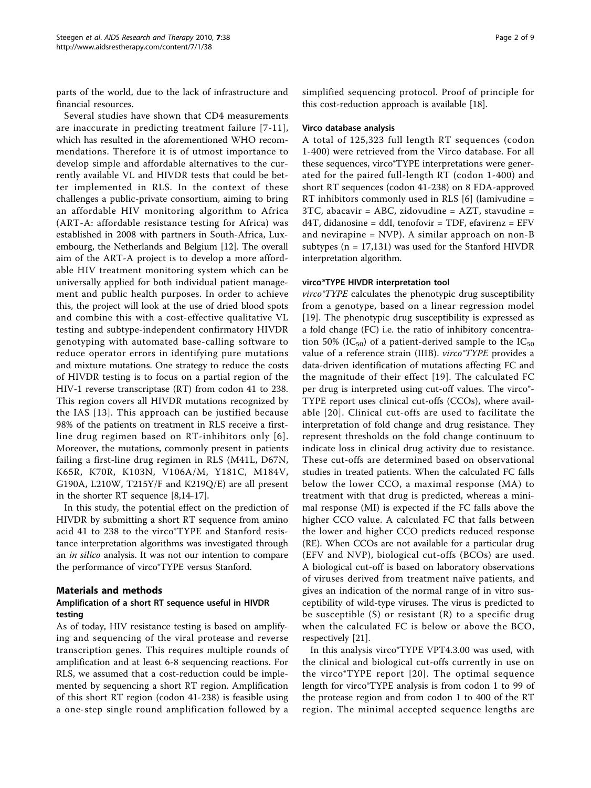parts of the world, due to the lack of infrastructure and financial resources.

Several studies have shown that CD4 measurements are inaccurate in predicting treatment failure [[7-11\]](#page-8-0), which has resulted in the aforementioned WHO recommendations. Therefore it is of utmost importance to develop simple and affordable alternatives to the currently available VL and HIVDR tests that could be better implemented in RLS. In the context of these challenges a public-private consortium, aiming to bring an affordable HIV monitoring algorithm to Africa (ART-A: affordable resistance testing for Africa) was established in 2008 with partners in South-Africa, Luxembourg, the Netherlands and Belgium [[12](#page-8-0)]. The overall aim of the ART-A project is to develop a more affordable HIV treatment monitoring system which can be universally applied for both individual patient management and public health purposes. In order to achieve this, the project will look at the use of dried blood spots and combine this with a cost-effective qualitative VL testing and subtype-independent confirmatory HIVDR genotyping with automated base-calling software to reduce operator errors in identifying pure mutations and mixture mutations. One strategy to reduce the costs of HIVDR testing is to focus on a partial region of the HIV-1 reverse transcriptase (RT) from codon 41 to 238. This region covers all HIVDR mutations recognized by the IAS [[13](#page-8-0)]. This approach can be justified because 98% of the patients on treatment in RLS receive a firstline drug regimen based on RT-inhibitors only [[6\]](#page-8-0). Moreover, the mutations, commonly present in patients failing a first-line drug regimen in RLS (M41L, D67N, K65R, K70R, K103N, V106A/M, Y181C, M184V, G190A, L210W, T215Y/F and K219Q/E) are all present in the shorter RT sequence [\[8,14](#page-8-0)-[17\]](#page-8-0).

In this study, the potential effect on the prediction of HIVDR by submitting a short RT sequence from amino acid 41 to 238 to the virco®TYPE and Stanford resistance interpretation algorithms was investigated through an *in silico* analysis. It was not our intention to compare the performance of virco®TYPE versus Stanford.

# Materials and methods

# Amplification of a short RT sequence useful in HIVDR testing

As of today, HIV resistance testing is based on amplifying and sequencing of the viral protease and reverse transcription genes. This requires multiple rounds of amplification and at least 6-8 sequencing reactions. For RLS, we assumed that a cost-reduction could be implemented by sequencing a short RT region. Amplification of this short RT region (codon 41-238) is feasible using a one-step single round amplification followed by a simplified sequencing protocol. Proof of principle for this cost-reduction approach is available [\[18](#page-8-0)].

#### Virco database analysis

A total of 125,323 full length RT sequences (codon 1-400) were retrieved from the Virco database. For all these sequences, virco®TYPE interpretations were generated for the paired full-length RT (codon 1-400) and short RT sequences (codon 41-238) on 8 FDA-approved RT inhibitors commonly used in RLS [[6\]](#page-8-0) (lamivudine = 3TC, abacavir = ABC, zidovudine = AZT, stavudine = d4T, didanosine = ddI, tenofovir = TDF, efavirenz = EFV and nevirapine = NVP). A similar approach on non-B subtypes ( $n = 17,131$ ) was used for the Stanford HIVDR interpretation algorithm.

#### virco®TYPE HIVDR interpretation tool

virco®TYPE calculates the phenotypic drug susceptibility from a genotype, based on a linear regression model [[19\]](#page-8-0). The phenotypic drug susceptibility is expressed as a fold change (FC) i.e. the ratio of inhibitory concentration 50% (IC<sub>50</sub>) of a patient-derived sample to the IC<sub>50</sub> value of a reference strain (IIIB). *virco TYPE* provides a data-driven identification of mutations affecting FC and the magnitude of their effect [[19](#page-8-0)]. The calculated FC per drug is interpreted using cut-off values. The virco®-TYPE report uses clinical cut-offs (CCOs), where available [[20\]](#page-8-0). Clinical cut-offs are used to facilitate the interpretation of fold change and drug resistance. They represent thresholds on the fold change continuum to indicate loss in clinical drug activity due to resistance. These cut-offs are determined based on observational studies in treated patients. When the calculated FC falls below the lower CCO, a maximal response (MA) to treatment with that drug is predicted, whereas a minimal response (MI) is expected if the FC falls above the higher CCO value. A calculated FC that falls between the lower and higher CCO predicts reduced response (RE). When CCOs are not available for a particular drug (EFV and NVP), biological cut-offs (BCOs) are used. A biological cut-off is based on laboratory observations of viruses derived from treatment naïve patients, and gives an indication of the normal range of in vitro susceptibility of wild-type viruses. The virus is predicted to be susceptible (S) or resistant (R) to a specific drug when the calculated FC is below or above the BCO, respectively [\[21](#page-8-0)].

In this analysis virco®TYPE VPT4.3.00 was used, with the clinical and biological cut-offs currently in use on the virco®TYPE report [[20](#page-8-0)]. The optimal sequence length for virco®TYPE analysis is from codon 1 to 99 of the protease region and from codon 1 to 400 of the RT region. The minimal accepted sequence lengths are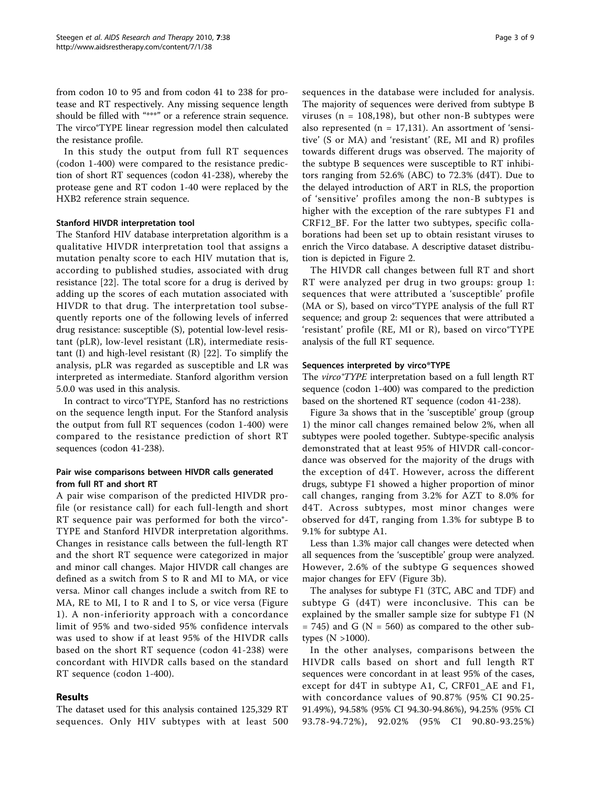from codon 10 to 95 and from codon 41 to 238 for protease and RT respectively. Any missing sequence length should be filled with "\*\*\*" or a reference strain sequence. The virco®TYPE linear regression model then calculated the resistance profile.

In this study the output from full RT sequences (codon 1-400) were compared to the resistance prediction of short RT sequences (codon 41-238), whereby the protease gene and RT codon 1-40 were replaced by the HXB2 reference strain sequence.

#### Stanford HIVDR interpretation tool

The Stanford HIV database interpretation algorithm is a qualitative HIVDR interpretation tool that assigns a mutation penalty score to each HIV mutation that is, according to published studies, associated with drug resistance [\[22](#page-8-0)]. The total score for a drug is derived by adding up the scores of each mutation associated with HIVDR to that drug. The interpretation tool subsequently reports one of the following levels of inferred drug resistance: susceptible (S), potential low-level resistant (pLR), low-level resistant (LR), intermediate resistant (I) and high-level resistant (R) [\[22](#page-8-0)]. To simplify the analysis, pLR was regarded as susceptible and LR was interpreted as intermediate. Stanford algorithm version 5.0.0 was used in this analysis.

In contract to virco®TYPE, Stanford has no restrictions on the sequence length input. For the Stanford analysis the output from full RT sequences (codon 1-400) were compared to the resistance prediction of short RT sequences (codon 41-238).

# Pair wise comparisons between HIVDR calls generated from full RT and short RT

A pair wise comparison of the predicted HIVDR profile (or resistance call) for each full-length and short RT sequence pair was performed for both the virco®- TYPE and Stanford HIVDR interpretation algorithms. Changes in resistance calls between the full-length RT and the short RT sequence were categorized in major and minor call changes. Major HIVDR call changes are defined as a switch from S to R and MI to MA, or vice versa. Minor call changes include a switch from RE to MA, RE to MI, I to R and I to S, or vice versa (Figure [1](#page-3-0)). A non-inferiority approach with a concordance limit of 95% and two-sided 95% confidence intervals was used to show if at least 95% of the HIVDR calls based on the short RT sequence (codon 41-238) were concordant with HIVDR calls based on the standard RT sequence (codon 1-400).

# Results

The dataset used for this analysis contained 125,329 RT sequences. Only HIV subtypes with at least 500 sequences in the database were included for analysis. The majority of sequences were derived from subtype B viruses ( $n = 108,198$ ), but other non-B subtypes were also represented ( $n = 17,131$ ). An assortment of 'sensitive' (S or MA) and 'resistant' (RE, MI and R) profiles towards different drugs was observed. The majority of the subtype B sequences were susceptible to RT inhibitors ranging from 52.6% (ABC) to 72.3% (d4T). Due to the delayed introduction of ART in RLS, the proportion of 'sensitive' profiles among the non-B subtypes is higher with the exception of the rare subtypes F1 and CRF12\_BF. For the latter two subtypes, specific collaborations had been set up to obtain resistant viruses to enrich the Virco database. A descriptive dataset distribution is depicted in Figure [2](#page-4-0).

The HIVDR call changes between full RT and short RT were analyzed per drug in two groups: group 1: sequences that were attributed a 'susceptible' profile (MA or S), based on virco®TYPE analysis of the full RT sequence; and group 2: sequences that were attributed a 'resistant' profile (RE, MI or R), based on virco®TYPE analysis of the full RT sequence.

#### Sequences interpreted by virco®TYPE

The *virco TYPE* interpretation based on a full length RT sequence (codon 1-400) was compared to the prediction based on the shortened RT sequence (codon 41-238).

Figure [3a](#page-5-0) shows that in the 'susceptible' group (group 1) the minor call changes remained below 2%, when all subtypes were pooled together. Subtype-specific analysis demonstrated that at least 95% of HIVDR call-concordance was observed for the majority of the drugs with the exception of d4T. However, across the different drugs, subtype F1 showed a higher proportion of minor call changes, ranging from 3.2% for AZT to 8.0% for d4T. Across subtypes, most minor changes were observed for d4T, ranging from 1.3% for subtype B to 9.1% for subtype A1.

Less than 1.3% major call changes were detected when all sequences from the 'susceptible' group were analyzed. However, 2.6% of the subtype G sequences showed major changes for EFV (Figure [3b\)](#page-5-0).

The analyses for subtype F1 (3TC, ABC and TDF) and subtype G (d4T) were inconclusive. This can be explained by the smaller sample size for subtype F1 (N  $= 745$ ) and G (N  $= 560$ ) as compared to the other subtypes  $(N > 1000)$ .

In the other analyses, comparisons between the HIVDR calls based on short and full length RT sequences were concordant in at least 95% of the cases, except for d4T in subtype A1, C, CRF01\_AE and F1, with concordance values of 90.87% (95% CI 90.25- 91.49%), 94.58% (95% CI 94.30-94.86%), 94.25% (95% CI 93.78-94.72%), 92.02% (95% CI 90.80-93.25%)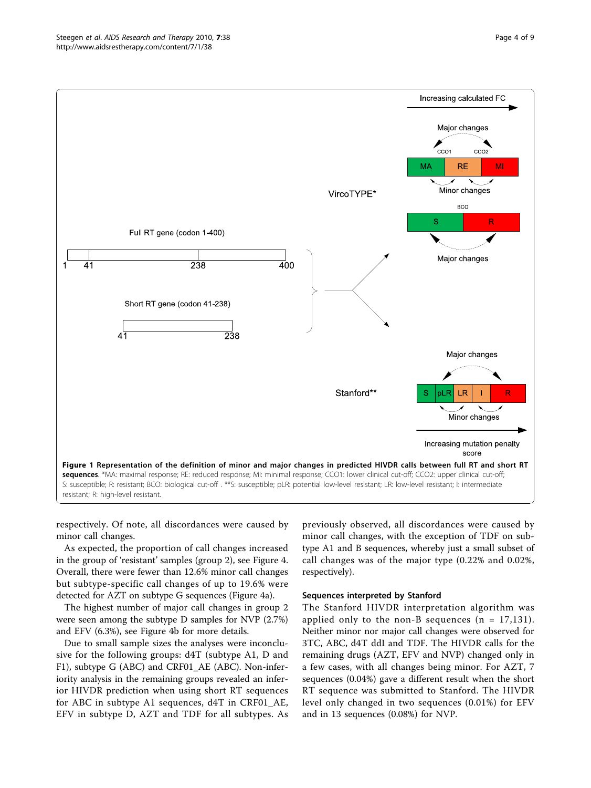<span id="page-3-0"></span>

respectively. Of note, all discordances were caused by minor call changes.

As expected, the proportion of call changes increased in the group of 'resistant' samples (group 2), see Figure [4](#page-6-0). Overall, there were fewer than 12.6% minor call changes but subtype-specific call changes of up to 19.6% were detected for AZT on subtype G sequences (Figure [4a\)](#page-6-0).

The highest number of major call changes in group 2 were seen among the subtype D samples for NVP (2.7%) and EFV (6.3%), see Figure [4b](#page-6-0) for more details.

Due to small sample sizes the analyses were inconclusive for the following groups: d4T (subtype A1, D and F1), subtype G (ABC) and CRF01\_AE (ABC). Non-inferiority analysis in the remaining groups revealed an inferior HIVDR prediction when using short RT sequences for ABC in subtype A1 sequences, d4T in CRF01\_AE, EFV in subtype D, AZT and TDF for all subtypes. As

previously observed, all discordances were caused by minor call changes, with the exception of TDF on subtype A1 and B sequences, whereby just a small subset of call changes was of the major type (0.22% and 0.02%, respectively).

#### Sequences interpreted by Stanford

The Stanford HIVDR interpretation algorithm was applied only to the non-B sequences  $(n = 17,131)$ . Neither minor nor major call changes were observed for 3TC, ABC, d4T ddI and TDF. The HIVDR calls for the remaining drugs (AZT, EFV and NVP) changed only in a few cases, with all changes being minor. For AZT, 7 sequences (0.04%) gave a different result when the short RT sequence was submitted to Stanford. The HIVDR level only changed in two sequences (0.01%) for EFV and in 13 sequences (0.08%) for NVP.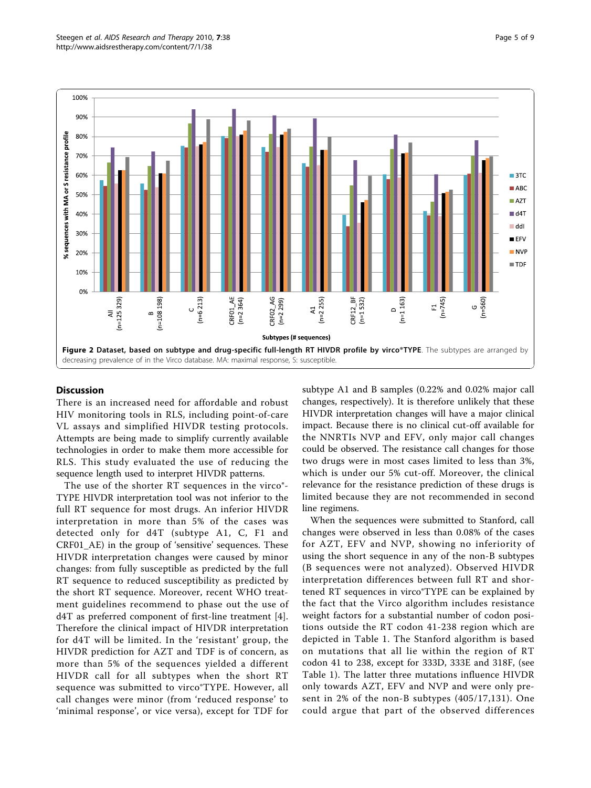<span id="page-4-0"></span>

#### Discussion

There is an increased need for affordable and robust HIV monitoring tools in RLS, including point-of-care VL assays and simplified HIVDR testing protocols. Attempts are being made to simplify currently available technologies in order to make them more accessible for RLS. This study evaluated the use of reducing the sequence length used to interpret HIVDR patterns.

The use of the shorter RT sequences in the virco®-TYPE HIVDR interpretation tool was not inferior to the full RT sequence for most drugs. An inferior HIVDR interpretation in more than 5% of the cases was detected only for d4T (subtype A1, C, F1 and CRF01\_AE) in the group of 'sensitive' sequences. These HIVDR interpretation changes were caused by minor changes: from fully susceptible as predicted by the full RT sequence to reduced susceptibility as predicted by the short RT sequence. Moreover, recent WHO treatment guidelines recommend to phase out the use of d4T as preferred component of first-line treatment [[4](#page-8-0)]. Therefore the clinical impact of HIVDR interpretation for d4T will be limited. In the 'resistant' group, the HIVDR prediction for AZT and TDF is of concern, as more than 5% of the sequences yielded a different HIVDR call for all subtypes when the short RT sequence was submitted to virco®TYPE. However, all call changes were minor (from 'reduced response' to 'minimal response', or vice versa), except for TDF for subtype A1 and B samples (0.22% and 0.02% major call changes, respectively). It is therefore unlikely that these HIVDR interpretation changes will have a major clinical impact. Because there is no clinical cut-off available for the NNRTIs NVP and EFV, only major call changes could be observed. The resistance call changes for those two drugs were in most cases limited to less than 3%, which is under our 5% cut-off. Moreover, the clinical relevance for the resistance prediction of these drugs is limited because they are not recommended in second line regimens.

When the sequences were submitted to Stanford, call changes were observed in less than 0.08% of the cases for AZT, EFV and NVP, showing no inferiority of using the short sequence in any of the non-B subtypes (B sequences were not analyzed). Observed HIVDR interpretation differences between full RT and shortened RT sequences in virco®TYPE can be explained by the fact that the Virco algorithm includes resistance weight factors for a substantial number of codon positions outside the RT codon 41-238 region which are depicted in Table [1.](#page-7-0) The Stanford algorithm is based on mutations that all lie within the region of RT codon 41 to 238, except for 333D, 333E and 318F, (see Table [1](#page-7-0)). The latter three mutations influence HIVDR only towards AZT, EFV and NVP and were only present in 2% of the non-B subtypes (405/17,131). One could argue that part of the observed differences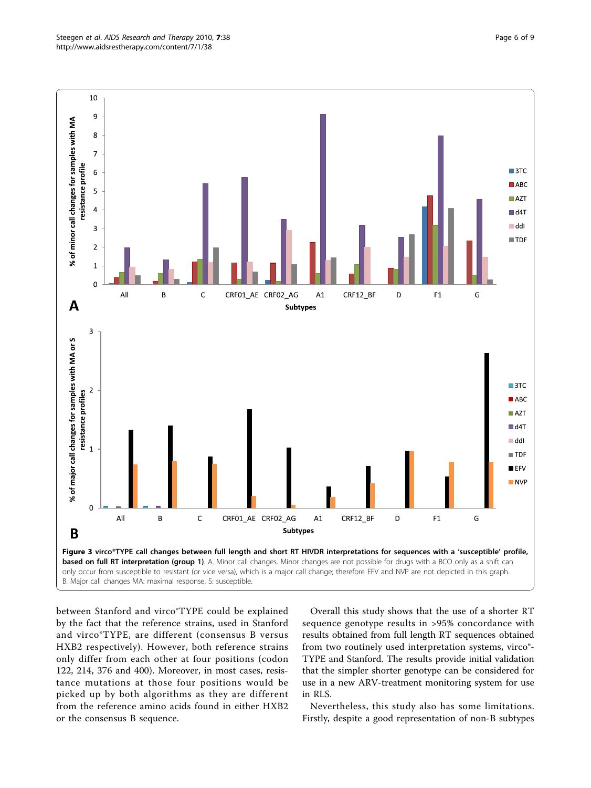<span id="page-5-0"></span>

between Stanford and virco®TYPE could be explained by the fact that the reference strains, used in Stanford and virco®TYPE, are different (consensus B versus HXB2 respectively). However, both reference strains only differ from each other at four positions (codon 122, 214, 376 and 400). Moreover, in most cases, resistance mutations at those four positions would be picked up by both algorithms as they are different from the reference amino acids found in either HXB2 or the consensus B sequence.

Overall this study shows that the use of a shorter RT sequence genotype results in >95% concordance with results obtained from full length RT sequences obtained from two routinely used interpretation systems, virco®- TYPE and Stanford. The results provide initial validation that the simpler shorter genotype can be considered for use in a new ARV-treatment monitoring system for use in RLS.

Nevertheless, this study also has some limitations. Firstly, despite a good representation of non-B subtypes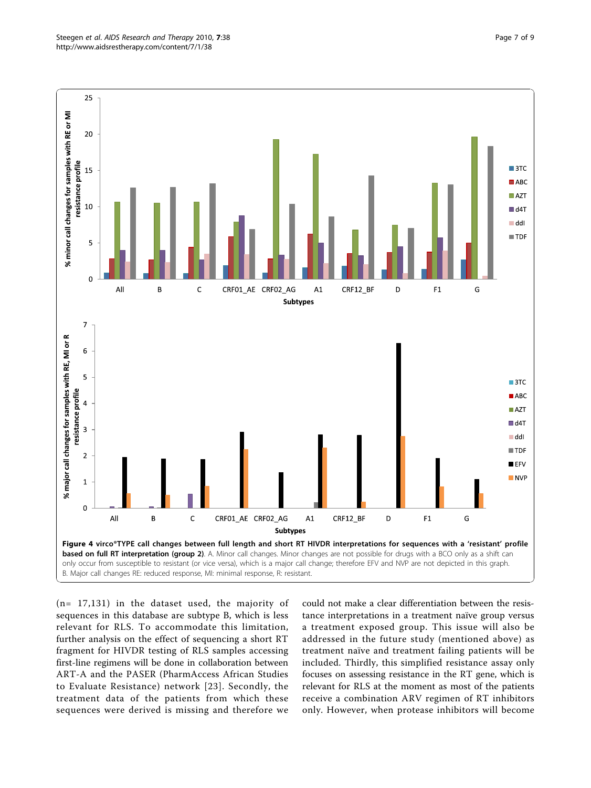<span id="page-6-0"></span>

(n= 17,131) in the dataset used, the majority of sequences in this database are subtype B, which is less relevant for RLS. To accommodate this limitation, further analysis on the effect of sequencing a short RT fragment for HIVDR testing of RLS samples accessing first-line regimens will be done in collaboration between ART-A and the PASER (PharmAccess African Studies to Evaluate Resistance) network [[23](#page-8-0)]. Secondly, the treatment data of the patients from which these sequences were derived is missing and therefore we could not make a clear differentiation between the resistance interpretations in a treatment naïve group versus a treatment exposed group. This issue will also be addressed in the future study (mentioned above) as treatment naïve and treatment failing patients will be included. Thirdly, this simplified resistance assay only focuses on assessing resistance in the RT gene, which is relevant for RLS at the moment as most of the patients receive a combination ARV regimen of RT inhibitors only. However, when protease inhibitors will become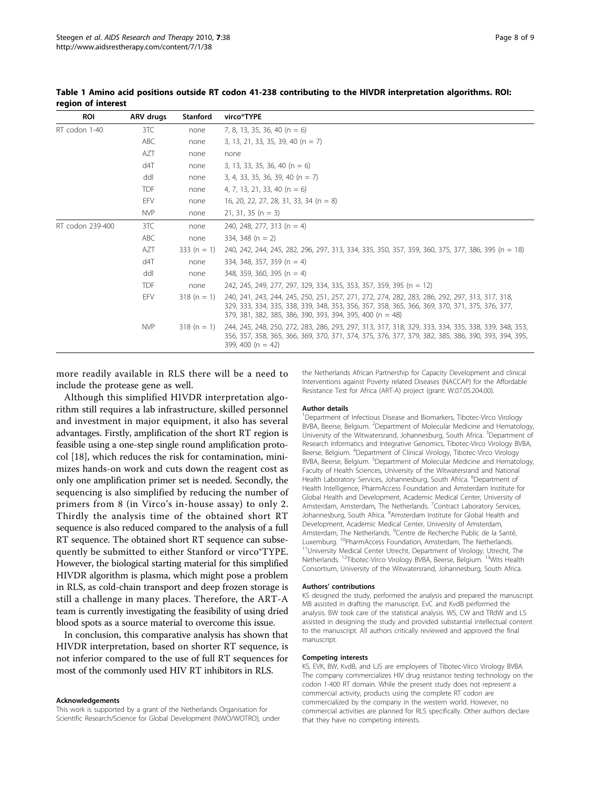| <b>ROI</b>       | <b>ARV</b> drugs | <b>Stanford</b> | virco®TYPE                                                                                                                                                                                                                                                    |
|------------------|------------------|-----------------|---------------------------------------------------------------------------------------------------------------------------------------------------------------------------------------------------------------------------------------------------------------|
| RT codon 1-40    | 3TC              | none            | 7, 8, 13, 35, 36, 40 (n = 6)                                                                                                                                                                                                                                  |
|                  | ABC              | none            | 3, 13, 21, 33, 35, 39, 40 (n = 7)                                                                                                                                                                                                                             |
|                  | AZT              | none            | none                                                                                                                                                                                                                                                          |
|                  | d4T              | none            | 3, 13, 33, 35, 36, 40 (n = 6)                                                                                                                                                                                                                                 |
|                  | ddl              | none            | $3, 4, 33, 35, 36, 39, 40 (n = 7)$                                                                                                                                                                                                                            |
|                  | <b>TDF</b>       | none            | 4, 7, 13, 21, 33, 40 (n = 6)                                                                                                                                                                                                                                  |
|                  | EFV              | none            | 16, 20, 22, 27, 28, 31, 33, 34 (n = 8)                                                                                                                                                                                                                        |
|                  | <b>NVP</b>       | none            | $21, 31, 35 (n = 3)$                                                                                                                                                                                                                                          |
| RT codon 239-400 | 3TC              | none            | 240, 248, 277, 313 (n = 4)                                                                                                                                                                                                                                    |
|                  | ABC              | none            | 334, 348 $(n = 2)$                                                                                                                                                                                                                                            |
|                  | A7T              | 333 (n = 1)     | 240, 242, 244, 245, 282, 296, 297, 313, 334, 335, 350, 357, 359, 360, 375, 377, 386, 395 (n = 18)                                                                                                                                                             |
|                  | d4T              | none            | 334, 348, 357, 359 (n = 4)                                                                                                                                                                                                                                    |
|                  | ddl              | none            | 348, 359, 360, 395 (n = 4)                                                                                                                                                                                                                                    |
|                  | <b>TDF</b>       | none            | 242, 245, 249, 277, 297, 329, 334, 335, 353, 357, 359, 395 (n = 12)                                                                                                                                                                                           |
|                  | EFV              | $318(n = 1)$    | 240, 241, 243, 244, 245, 250, 251, 257, 271, 272, 274, 282, 283, 286, 292, 297, 313, 317, 318,<br>329, 333, 334, 335, 338, 339, 348, 353, 356, 357, 358, 365, 366, 369, 370, 371, 375, 376, 377,<br>379, 381, 382, 385, 386, 390, 393, 394, 395, 400 (n = 48) |
|                  | <b>NVP</b>       | $318(n = 1)$    | 244, 245, 248, 250, 272, 283, 286, 293, 297, 313, 317, 318, 329, 333, 334, 335, 338, 339, 348, 353,<br>356, 357, 358, 365, 366, 369, 370, 371, 374, 375, 376, 377, 379, 382, 385, 386, 390, 393, 394, 395,<br>399, 400 ( $n = 42$ )                           |

<span id="page-7-0"></span>Table 1 Amino acid positions outside RT codon 41-238 contributing to the HIVDR interpretation algorithms. ROI: region of interest

more readily available in RLS there will be a need to include the protease gene as well.

Although this simplified HIVDR interpretation algorithm still requires a lab infrastructure, skilled personnel and investment in major equipment, it also has several advantages. Firstly, amplification of the short RT region is feasible using a one-step single round amplification protocol [[18\]](#page-8-0), which reduces the risk for contamination, minimizes hands-on work and cuts down the reagent cost as only one amplification primer set is needed. Secondly, the sequencing is also simplified by reducing the number of primers from 8 (in Virco's in-house assay) to only 2. Thirdly the analysis time of the obtained short RT sequence is also reduced compared to the analysis of a full RT sequence. The obtained short RT sequence can subsequently be submitted to either Stanford or virco®TYPE. However, the biological starting material for this simplified HIVDR algorithm is plasma, which might pose a problem in RLS, as cold-chain transport and deep frozen storage is still a challenge in many places. Therefore, the ART-A team is currently investigating the feasibility of using dried blood spots as a source material to overcome this issue.

In conclusion, this comparative analysis has shown that HIVDR interpretation, based on shorter RT sequence, is not inferior compared to the use of full RT sequences for most of the commonly used HIV RT inhibitors in RLS.

#### Acknowledgements

This work is supported by a grant of the Netherlands Organisation for Scientific Research/Science for Global Development (NWO/WOTRO), under

the Netherlands African Partnership for Capacity Development and clinical Interventions against Poverty related Diseases (NACCAP) for the Affordable Resistance Test for Africa (ART-A) project (grant: W.07.05.204.00).

#### Author details

<sup>1</sup>Department of Infectious Disease and Biomarkers, Tibotec-Virco Virology BVBA, Beerse, Belgium. <sup>2</sup>Department of Molecular Medicine and Hematology University of the Witwatersrand, Johannesburg, South Africa. <sup>3</sup>Department of Research Informatics and Integrative Genomics, Tibotec-Virco Virology BVBA, Beerse, Belgium. <sup>4</sup> Department of Clinical Virology, Tibotec-Virco Virology BVBA, Beerse, Belgium. <sup>5</sup>Department of Molecular Medicine and Hematology Faculty of Health Sciences, University of the Witwatersrand and National Health Laboratory Services, Johannesburg, South Africa. <sup>6</sup>Department of Health Intelligence, PharmAccess Foundation and Amsterdam Institute for Global Health and Development, Academic Medical Center, University of Amsterdam, Amsterdam, The Netherlands. <sup>7</sup>Contract Laboratory Services, Johannesburg, South Africa. <sup>8</sup>Amsterdam Institute for Global Health and Development, Academic Medical Center, University of Amsterdam, Amsterdam, The Netherlands. <sup>9</sup> Centre de Recherche Public de la Santé, Luxemburg. <sup>10</sup>PharmAccess Foundation, Amsterdam, The Netherlands.<br><sup>11</sup>University Medical Center Utrecht, Department of Virology; Utrecht, The Netherlands. 12Tibotec-Virco Virology BVBA, Beerse, Belgium. 13Wits Health Consortium, University of the Witwatersrand, Johannesburg, South Africa.

#### Authors' contributions

KS designed the study, performed the analysis and prepared the manuscript. MB assisted in drafting the manuscript. EvC and KvdB performed the analysis. BW took care of the statistical analysis. WS, CW and TRdW and LS assisted in designing the study and provided substantial intellectual content to the manuscript. All authors critically reviewed and approved the final manuscript.

#### Competing interests

KS, EVK, BW, KvdB, and LJS are employees of Tibotec-Virco Virology BVBA. The company commercializes HIV drug resistance testing technology on the codon 1-400 RT domain. While the present study does not represent a commercial activity, products using the complete RT codon are commercialized by the company in the western world. However, no commercial activities are planned for RLS specifically. Other authors declare that they have no competing interests.